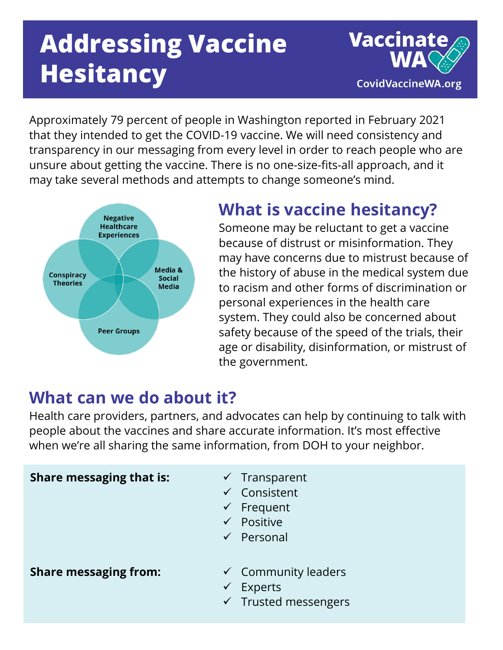# **Addressing Vaccine Hesitancy**



Approximately 79 percent of people in Washington reported in February 2021 that they intended to get the COVID-19 vaccine. We will need consistency and transparency in our messaging from every level in order to reach people who are unsure about getting the vaccine. There is no one-size-fits-all approach, and it may take several methods and attempts to change someone's mind.



### **What is vaccine hesitancy?**

Someone may be reluctant to get a vaccine because of distrust or misinformation. They may have concerns due to mistrust because of the history of abuse in the medical system due to racism and other forms of discrimination or personal experiences in the health care system. They could also be concerned about safety because of the speed of the trials, their age or disability, disinformation, or mistrust of the government.

#### **What can we do about it?**

Health care providers, partners, and advocates can help by continuing to talk with people about the vaccines and share accurate information. It's most effective when we're all sharing the same information, from DOH to your neighbor.

| <b>Share messaging that is:</b> | $\checkmark$ Transparent<br>$\checkmark$ Consistent<br>$\checkmark$ Frequent<br>$\checkmark$ Positive<br>$\checkmark$ Personal |
|---------------------------------|--------------------------------------------------------------------------------------------------------------------------------|
| <b>Share messaging from:</b>    | $\checkmark$ Community leaders<br><b>Experts</b><br>$\checkmark$<br>$\checkmark$ Trusted messengers                            |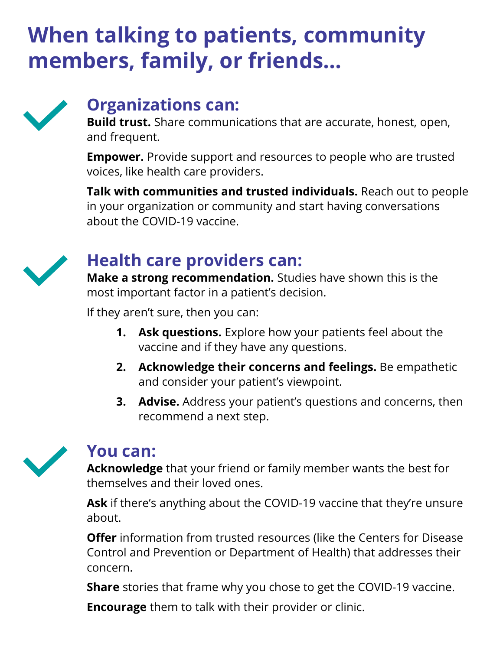## **When talking to patients, community members, family, or friends…**



### **Organizations can:**

**Build trust.** Share communications that are accurate, honest, open, and frequent.

**Empower.** Provide support and resources to people who are trusted voices, like health care providers.

**Talk with communities and trusted individuals.** Reach out to people in your organization or community and start having conversations about the COVID-19 vaccine.



### **Health care providers can:**

**Make a strong recommendation.** Studies have shown this is the most important factor in a patient's decision.

If they aren't sure, then you can:

- **1. Ask questions.** Explore how your patients feel about the vaccine and if they have any questions.
- **2. Acknowledge their concerns and feelings.** Be empathetic and consider your patient's viewpoint.
- **3. Advise.** Address your patient's questions and concerns, then recommend a next step.



#### **You can:**

**Acknowledge** that your friend or family member wants the best for themselves and their loved ones.

**Ask** if there's anything about the COVID-19 vaccine that they're unsure about.

**Offer** information from trusted resources (like the Centers for Disease Control and Prevention or Department of Health) that addresses their concern.

**Share** stories that frame why you chose to get the COVID-19 vaccine.

**Encourage** them to talk with their provider or clinic.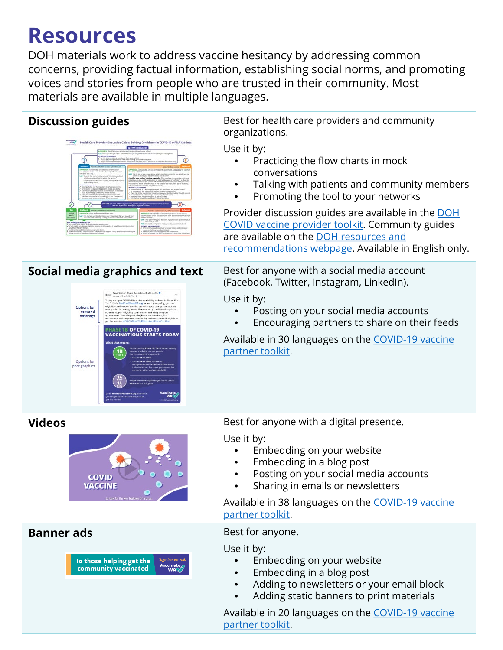### **Resources**

DOH materials work to address vaccine hesitancy by addressing common concerns, providing factual information, establishing social norms, and promoting voices and stories from people who are trusted in their community. Most materials are available in multiple languages.

#### **Discussion guides** Best for health care providers and community organizations. Wednesday Health Care Use it by: • Practicing the flow charts in mock conversations • Talking with patients and community members • Promoting the tool to your networks Provider discussion guides are available in the DOH [COVID vaccine provider toolkit. Community guides](https://www.doh.wa.gov/Emergencies/COVID19/HealthcareProviders/VaccineInformationforHealthcareProviders/ToolkitandResources#heading65953)  are available on the DOH resources and [recommendations webpage. Available in](https://www.doh.wa.gov/Emergencies/COVID19/ResourcesandRecommendations#vaccines) English only. **Social media graphics and text** Best for anyone with a social media account (Facebook, Twitter, Instagram, LinkedIn). Use it by: Options for<br>text and<br>hashtags • Posting on your social media accounts • Encouraging partners to share on their feeds **PHASE 1B OF COVID-19<br>VACCINATIONS STARTS TODA** [Available in 30 languages on the COVID-19 vaccine](https://coronavirus.wa.gov/partner-toolkit/covid-19-vaccines-questions-answers) partner toolkit. Options for<br>post graphics **Videos Best for anyone with a digital presence.** Use it by: • Embedding on your website • Embedding in a blog post • Posting on your social media accounts **COVID VACCINE** • Sharing in emails or newsletters [Available in 38 languages on the COVID-19 vaccine](https://coronavirus.wa.gov/partner-toolkit/covid-19-vaccines-questions-answers) partner toolkit. **Banner ads** Best for anyone. Use it by: • Embedding on your website To those helping get the community vaccinated • Embedding in a blog post • Adding to newsletters or your email block • Adding static banners to print materials [Available in 20 languages on the COVID-19 vaccine](https://coronavirus.wa.gov/partner-toolkit/covid-19-vaccines-questions-answers) partner toolkit.